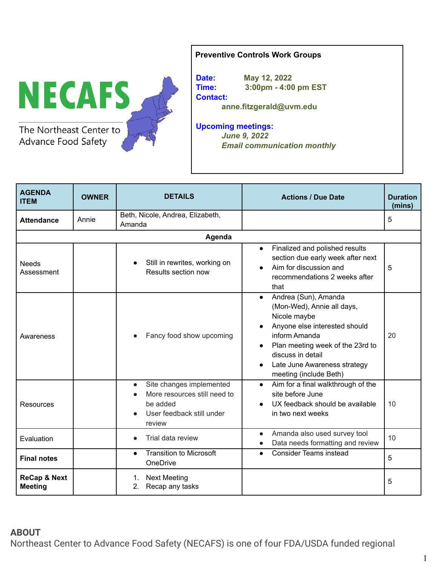

## **Preventive Controls Work Groups**

**Date: May 12, 2022 Time: 3:00pm - 4:00 pm EST Contact: anne.fitzgerald@uvm.edu**

**Upcoming meetings:** *June 9, 2022 Email communication monthly*

| <b>AGENDA</b><br><b>ITEM</b>              | <b>OWNER</b> | <b>DETAILS</b>                                                                                                           | <b>Actions / Due Date</b>                                                                                                                                                                                                                                         | <b>Duration</b><br>(mins) |
|-------------------------------------------|--------------|--------------------------------------------------------------------------------------------------------------------------|-------------------------------------------------------------------------------------------------------------------------------------------------------------------------------------------------------------------------------------------------------------------|---------------------------|
| <b>Attendance</b>                         | Annie        | Beth, Nicole, Andrea, Elizabeth,<br>Amanda                                                                               |                                                                                                                                                                                                                                                                   | 5                         |
| Agenda                                    |              |                                                                                                                          |                                                                                                                                                                                                                                                                   |                           |
| <b>Needs</b><br>Assessment                |              | Still in rewrites, working on<br>Results section now                                                                     | Finalized and polished results<br>$\bullet$<br>section due early week after next<br>Aim for discussion and<br>recommendations 2 weeks after<br>that                                                                                                               | 5                         |
| Awareness                                 |              | Fancy food show upcoming                                                                                                 | Andrea (Sun), Amanda<br>$\bullet$<br>(Mon-Wed), Annie all days,<br>Nicole maybe<br>Anyone else interested should<br>inform Amanda<br>Plan meeting week of the 23rd to<br>discuss in detail<br>Late June Awareness strategy<br>$\bullet$<br>meeting (include Beth) | 20                        |
| Resources                                 |              | Site changes implemented<br>$\bullet$<br>More resources still need to<br>be added<br>User feedback still under<br>review | Aim for a final walkthrough of the<br>$\bullet$<br>site before June<br>UX feedback should be available<br>in two next weeks                                                                                                                                       | 10                        |
| Evaluation                                |              | Trial data review                                                                                                        | Amanda also used survey tool<br>$\bullet$<br>Data needs formatting and review                                                                                                                                                                                     | 10                        |
| <b>Final notes</b>                        |              | <b>Transition to Microsoft</b><br>$\bullet$<br>OneDrive                                                                  | <b>Consider Teams instead</b><br>$\bullet$                                                                                                                                                                                                                        | 5                         |
| <b>ReCap &amp; Next</b><br><b>Meeting</b> |              | <b>Next Meeting</b><br>1.<br>2.<br>Recap any tasks                                                                       |                                                                                                                                                                                                                                                                   | 5                         |